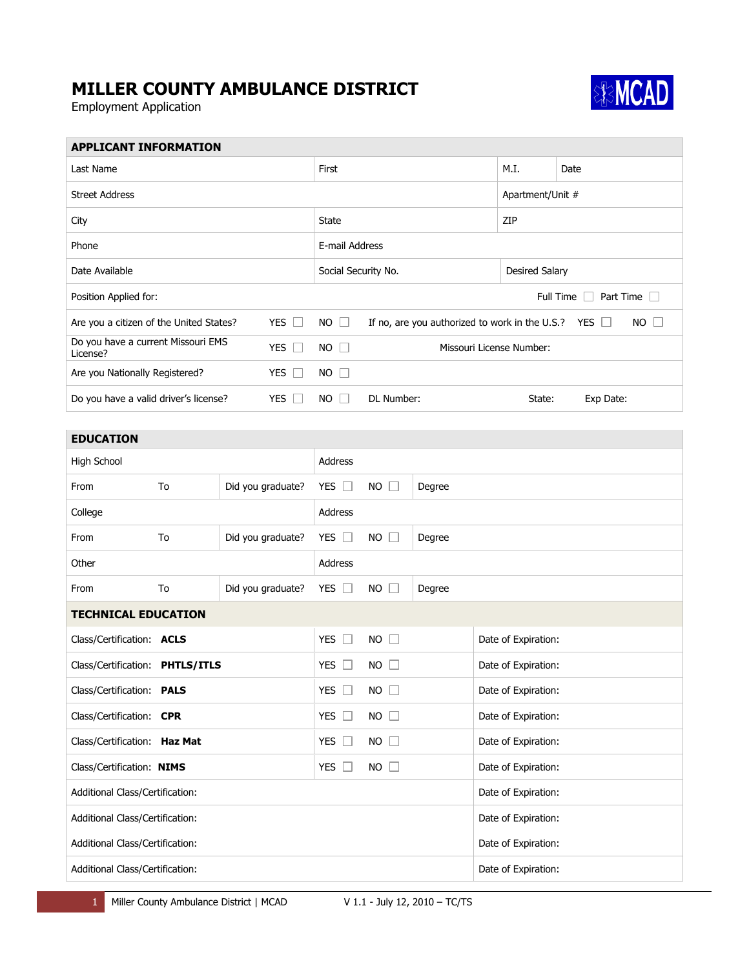## **MILLER COUNTY AMBULANCE DISTRICT**

Employment Application



| <b>APPLICANT INFORMATION</b>                                    |    |                   |                                                                                        |                                   |        |  |                     |      |  |
|-----------------------------------------------------------------|----|-------------------|----------------------------------------------------------------------------------------|-----------------------------------|--------|--|---------------------|------|--|
| Last Name                                                       |    |                   | First                                                                                  |                                   |        |  | M.I.                | Date |  |
| <b>Street Address</b>                                           |    |                   |                                                                                        |                                   |        |  | Apartment/Unit #    |      |  |
| City                                                            |    |                   | State                                                                                  |                                   |        |  | ZIP                 |      |  |
| Phone                                                           |    |                   | E-mail Address                                                                         |                                   |        |  |                     |      |  |
| Date Available                                                  |    |                   | Social Security No.                                                                    |                                   |        |  | Desired Salary      |      |  |
| Position Applied for:                                           |    |                   | Full Time<br>Part Time<br>$\overline{\phantom{0}}$                                     |                                   |        |  |                     |      |  |
| Are you a citizen of the United States?<br>YES $\Box$           |    |                   | $NO$ $\Box$<br>If no, are you authorized to work in the U.S.?<br>YES<br>NO.<br>$\perp$ |                                   |        |  |                     |      |  |
| Do you have a current Missouri EMS<br>YES $\square$<br>License? |    |                   | $NO$ $\Box$                                                                            | Missouri License Number:          |        |  |                     |      |  |
| Are you Nationally Registered?<br>YES $\Box$                    |    |                   | $NO$ $\Box$                                                                            |                                   |        |  |                     |      |  |
| Do you have a valid driver's license?<br>YES $\square$          |    |                   | NO                                                                                     | DL Number:<br>Exp Date:<br>State: |        |  |                     |      |  |
|                                                                 |    |                   |                                                                                        |                                   |        |  |                     |      |  |
| <b>EDUCATION</b>                                                |    |                   |                                                                                        |                                   |        |  |                     |      |  |
| High School                                                     |    |                   | Address                                                                                |                                   |        |  |                     |      |  |
| From                                                            | To | Did you graduate? | YES $\Box$                                                                             | <b>NO</b>                         | Degree |  |                     |      |  |
| College                                                         |    |                   | Address                                                                                |                                   |        |  |                     |      |  |
| From                                                            | To | Did you graduate? | YES $\Box$                                                                             | <b>NO</b>                         | Degree |  |                     |      |  |
| Other                                                           |    |                   | Address                                                                                |                                   |        |  |                     |      |  |
| From                                                            | To | Did you graduate? | YES $\Box$                                                                             | $NO$ $\Box$                       | Degree |  |                     |      |  |
| <b>TECHNICAL EDUCATION</b>                                      |    |                   |                                                                                        |                                   |        |  |                     |      |  |
| Class/Certification: ACLS                                       |    |                   | YES $\square$                                                                          | $NO$ $\Box$                       |        |  | Date of Expiration: |      |  |
| Class/Certification: PHTLS/ITLS                                 |    |                   | YES $\Box$                                                                             | $NO$ $\Box$                       |        |  | Date of Expiration: |      |  |
| Class/Certification: PALS                                       |    |                   | YES $\square$                                                                          | $NO$ $\Box$                       |        |  | Date of Expiration: |      |  |
| Class/Certification: CPR                                        |    |                   | YES $\square$                                                                          | $NO$ $\square$                    |        |  | Date of Expiration: |      |  |
| Class/Certification: Haz Mat                                    |    |                   | YES $\square$                                                                          | $NO$ $\square$                    |        |  | Date of Expiration: |      |  |
| Class/Certification: NIMS                                       |    |                   | YES $\square$                                                                          | $NO$ $\Box$                       |        |  | Date of Expiration: |      |  |
| Additional Class/Certification:                                 |    |                   |                                                                                        |                                   |        |  | Date of Expiration: |      |  |
| Additional Class/Certification:                                 |    |                   |                                                                                        |                                   |        |  | Date of Expiration: |      |  |
| Additional Class/Certification:                                 |    |                   |                                                                                        |                                   |        |  | Date of Expiration: |      |  |
| Additional Class/Certification:                                 |    |                   |                                                                                        |                                   |        |  | Date of Expiration: |      |  |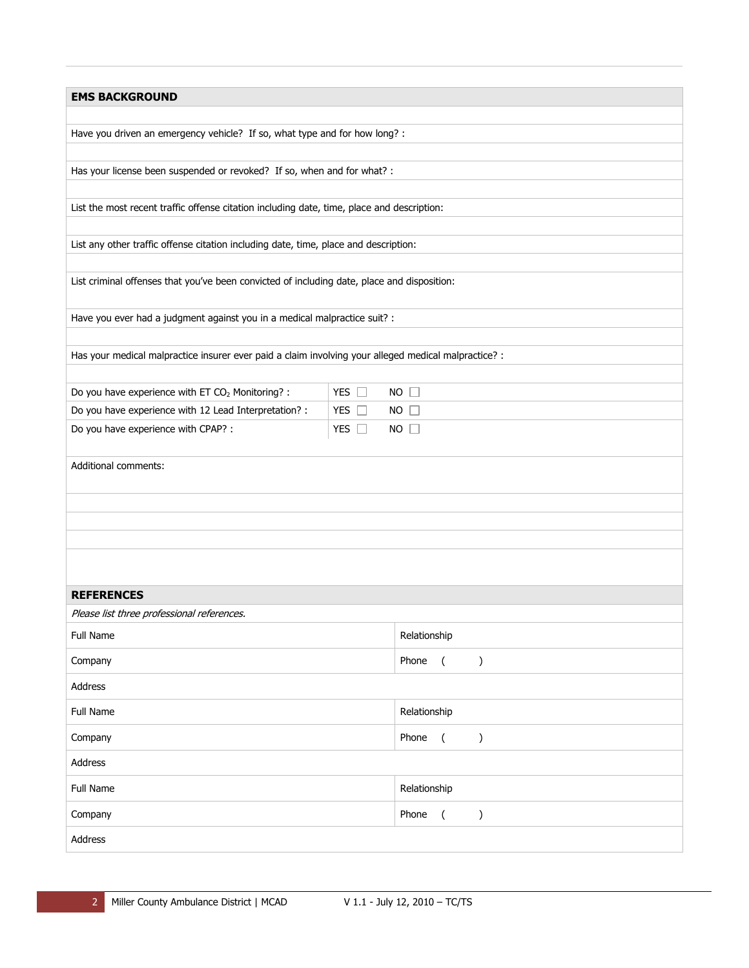| <b>EMS BACKGROUND</b>                                                                                |                                                                            |             |  |  |  |  |
|------------------------------------------------------------------------------------------------------|----------------------------------------------------------------------------|-------------|--|--|--|--|
|                                                                                                      |                                                                            |             |  |  |  |  |
|                                                                                                      | Have you driven an emergency vehicle? If so, what type and for how long? : |             |  |  |  |  |
|                                                                                                      |                                                                            |             |  |  |  |  |
| Has your license been suspended or revoked? If so, when and for what? :                              |                                                                            |             |  |  |  |  |
|                                                                                                      |                                                                            |             |  |  |  |  |
| List the most recent traffic offense citation including date, time, place and description:           |                                                                            |             |  |  |  |  |
| List any other traffic offense citation including date, time, place and description:                 |                                                                            |             |  |  |  |  |
|                                                                                                      |                                                                            |             |  |  |  |  |
| List criminal offenses that you've been convicted of including date, place and disposition:          |                                                                            |             |  |  |  |  |
| Have you ever had a judgment against you in a medical malpractice suit? :                            |                                                                            |             |  |  |  |  |
|                                                                                                      |                                                                            |             |  |  |  |  |
| Has your medical malpractice insurer ever paid a claim involving your alleged medical malpractice? : |                                                                            |             |  |  |  |  |
|                                                                                                      |                                                                            |             |  |  |  |  |
| Do you have experience with ET CO <sub>2</sub> Monitoring? :                                         | YES $\Box$                                                                 | $NO$ $\Box$ |  |  |  |  |
| Do you have experience with 12 Lead Interpretation? :                                                | YES I                                                                      | $NO$ $\Box$ |  |  |  |  |
| Do you have experience with CPAP? :                                                                  | YES $\Box$                                                                 | $NO$ $\Box$ |  |  |  |  |
|                                                                                                      |                                                                            |             |  |  |  |  |
| Additional comments:                                                                                 |                                                                            |             |  |  |  |  |
|                                                                                                      |                                                                            |             |  |  |  |  |
|                                                                                                      |                                                                            |             |  |  |  |  |
|                                                                                                      |                                                                            |             |  |  |  |  |
|                                                                                                      |                                                                            |             |  |  |  |  |
|                                                                                                      |                                                                            |             |  |  |  |  |
| <b>REFERENCES</b>                                                                                    |                                                                            |             |  |  |  |  |
| Please list three professional references.                                                           |                                                                            |             |  |  |  |  |
| Full Name                                                                                            | Relationship                                                               |             |  |  |  |  |
| Company                                                                                              | Phone<br>$\overline{C}$<br>)                                               |             |  |  |  |  |
| Address                                                                                              |                                                                            |             |  |  |  |  |
| Full Name                                                                                            | Relationship                                                               |             |  |  |  |  |
| Company                                                                                              | Phone<br>$\overline{(\ }$<br>)                                             |             |  |  |  |  |
| Address                                                                                              |                                                                            |             |  |  |  |  |
| Full Name                                                                                            | Relationship                                                               |             |  |  |  |  |
| Company                                                                                              | Phone<br>$\overline{ }$<br>)                                               |             |  |  |  |  |
| Address                                                                                              |                                                                            |             |  |  |  |  |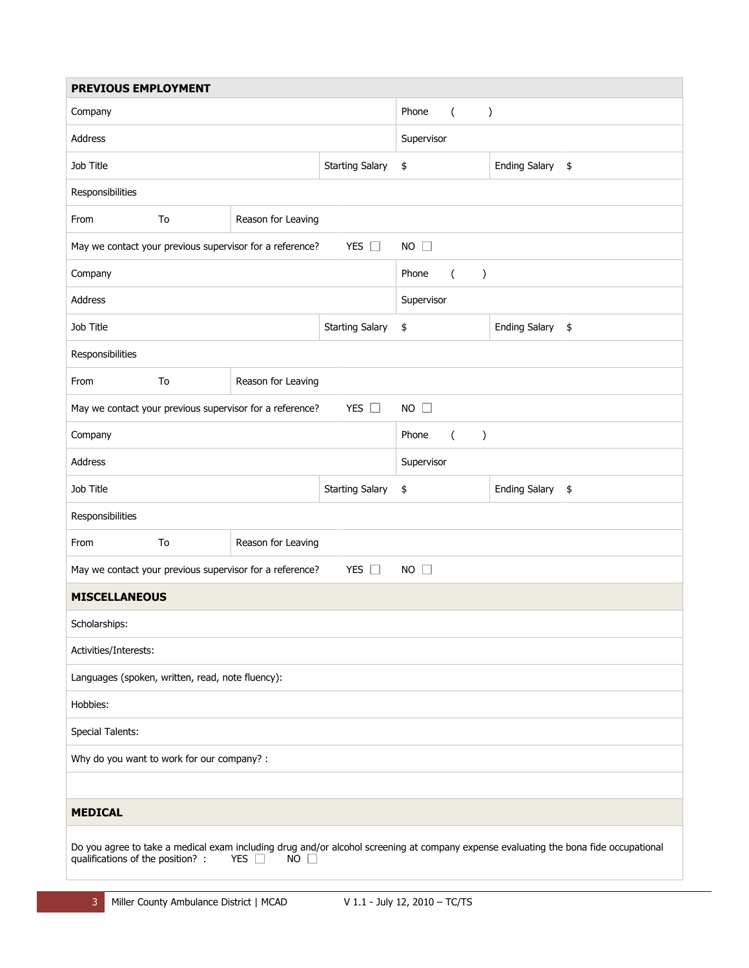| <b>PREVIOUS EMPLOYMENT</b>                                                                                                                                                                           |                                                                                             |                    |                                    |                                            |                  |  |
|------------------------------------------------------------------------------------------------------------------------------------------------------------------------------------------------------|---------------------------------------------------------------------------------------------|--------------------|------------------------------------|--------------------------------------------|------------------|--|
| Company                                                                                                                                                                                              |                                                                                             |                    |                                    | Phone<br>$\overline{(\ }$<br>$\mathcal{C}$ |                  |  |
| Address                                                                                                                                                                                              |                                                                                             |                    | Supervisor                         |                                            |                  |  |
| Job Title                                                                                                                                                                                            |                                                                                             |                    | <b>Starting Salary</b>             | \$                                         | Ending Salary \$ |  |
| Responsibilities                                                                                                                                                                                     |                                                                                             |                    |                                    |                                            |                  |  |
| From                                                                                                                                                                                                 | To                                                                                          | Reason for Leaving |                                    |                                            |                  |  |
|                                                                                                                                                                                                      | May we contact your previous supervisor for a reference?<br>YES $\square$<br>$NO$ $\square$ |                    |                                    |                                            |                  |  |
| Company                                                                                                                                                                                              |                                                                                             |                    |                                    | Phone<br>$\mathcal{E}$<br>$\left($         |                  |  |
| Address                                                                                                                                                                                              |                                                                                             |                    | Supervisor                         |                                            |                  |  |
| Job Title                                                                                                                                                                                            |                                                                                             |                    | <b>Starting Salary</b>             | \$                                         | Ending Salary \$ |  |
| Responsibilities                                                                                                                                                                                     |                                                                                             |                    |                                    |                                            |                  |  |
| From<br>To<br>Reason for Leaving                                                                                                                                                                     |                                                                                             |                    |                                    |                                            |                  |  |
| YES $\square$<br>May we contact your previous supervisor for a reference?<br>$NO$ $\Box$                                                                                                             |                                                                                             |                    |                                    |                                            |                  |  |
| Company                                                                                                                                                                                              |                                                                                             |                    | Phone<br>$\mathcal{E}$<br>$\left($ |                                            |                  |  |
| Address                                                                                                                                                                                              |                                                                                             |                    | Supervisor                         |                                            |                  |  |
| Job Title                                                                                                                                                                                            |                                                                                             |                    | <b>Starting Salary</b>             | \$                                         | Ending Salary \$ |  |
| Responsibilities                                                                                                                                                                                     |                                                                                             |                    |                                    |                                            |                  |  |
| From                                                                                                                                                                                                 | To<br>Reason for Leaving                                                                    |                    |                                    |                                            |                  |  |
| YES $\square$<br>May we contact your previous supervisor for a reference?<br>$NO$ $\Box$                                                                                                             |                                                                                             |                    |                                    |                                            |                  |  |
| <b>MISCELLANEOUS</b>                                                                                                                                                                                 |                                                                                             |                    |                                    |                                            |                  |  |
| Scholarships:                                                                                                                                                                                        |                                                                                             |                    |                                    |                                            |                  |  |
| Activities/Interests:                                                                                                                                                                                |                                                                                             |                    |                                    |                                            |                  |  |
| Languages (spoken, written, read, note fluency):                                                                                                                                                     |                                                                                             |                    |                                    |                                            |                  |  |
| Hobbies:                                                                                                                                                                                             |                                                                                             |                    |                                    |                                            |                  |  |
| <b>Special Talents:</b>                                                                                                                                                                              |                                                                                             |                    |                                    |                                            |                  |  |
| Why do you want to work for our company? :                                                                                                                                                           |                                                                                             |                    |                                    |                                            |                  |  |
|                                                                                                                                                                                                      |                                                                                             |                    |                                    |                                            |                  |  |
| <b>MEDICAL</b>                                                                                                                                                                                       |                                                                                             |                    |                                    |                                            |                  |  |
| Do you agree to take a medical exam including drug and/or alcohol screening at company expense evaluating the bona fide occupational<br>qualifications of the position? :<br>YES $\Box$<br>$NO \Box$ |                                                                                             |                    |                                    |                                            |                  |  |